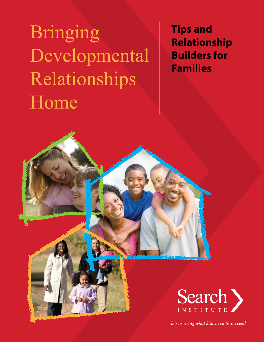Bringing Developmental Relationships Home

**Tips and Relationship Builders for Families**



Discovering what kids need to succeed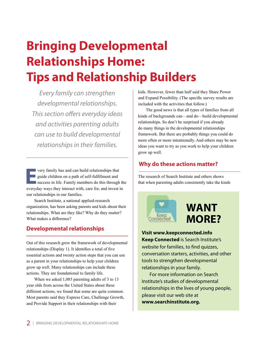# **Bringing Developmental Relationships Home: Tips and Relationship Builders**

*Every family can strengthen developmental relationships. This section offers everyday ideas and activities parenting adults can use to build developmental relationships in their families.* 

The research of Search Institute and others shows<br>single children on a path of self-fulfillment and<br>success in life. Family members do this through the<br>average that when parenting adults consistently take the kinds<br>average very family has and can build relationships that guide children on a path of self-fulfillment and success in life. Family members do this through the everyday ways they interact with, care for, and invest in our relationships in our families.

Search Institute, a national applied-research organization, has been asking parents and kids about their relationships. What are they like? Why do they matter? What makes a difference?

# **Developmental relationships**

Out of this research grew the framework of developmental relationships (Display 1). It identifies a total of five essential actions and twenty action steps that you can use as a parent in your relationships to help your children grow up well. Many relationships can include these actions. They are foundational to family life.

When we asked 1,085 parenting adults of 3 to 13 year olds from across the United States about these different actions, we found that some are quite common. Most parents said they Express Care, Challenge Growth, and Provide Support in their relationships with their

kids. However, fewer than half said they Share Power and Expand Possibility. (The specific survey results are included with the activities that follow.)

The good news is that all types of families from all kinds of backgrounds can—and do—build developmental relationships. So don't be surprised if you already do many things in the developmental relationships framework. But there are probably things you could do more often or more intentionally. And others may be new ideas you want to try as you work to help your children grow up well.

# **Why do these actions matter?**



**Visit www.keepconnected.info Keep Connected** is Search Institute's website for families, to find quizzes, conversation starters, activities, and other tools to strengthen developmental relationships in your family.

For more information on Search Institute's studies of developmental relationships in the lives of young people, please visit our web site at **www.searchi[nstitute.org.](https://www.search-institute.org/)**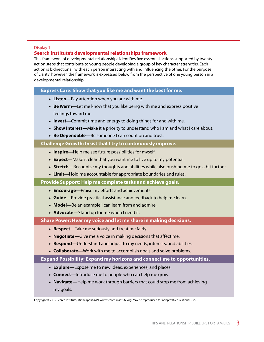#### Display 1

### **Search Institute's developmental relationships framework**

This framework of developmental relationships identifies five essential actions supported by twenty action steps that contribute to young people developing a group of key character strengths. Each action is bidirectional, with each person interacting with and influencing the other. For the purpose of clarity, however, the framework is expressed below from the perspective of one young person in a developmental relationship.

#### **Express Care: Show that you like me and want the best for me.**

- **Listen—**Pay attention when you are with me.
- **Be Warm—**Let me know that you like being with me and express positive feelings toward me.
- **Invest—**Commit time and energy to doing things for and with me.
- **Show Interest—**Make it a priority to understand who I am and what I care about.
- **Be Dependable—**Be someone I can count on and trust.

#### **Challenge Growth: Insist that I try to continuously improve.**

- **Inspire—**Help me see future possibilities for myself.
- **Expect—**Make it clear that you want me to live up to my potential.
- **Stretch—**Recognize my thoughts and abilities while also pushing me to go a bit further.
- **Limit—**Hold me accountable for appropriate boundaries and rules.

#### **Provide Support: Help me complete tasks and achieve goals.**

- **Encourage—**Praise my efforts and achievements.
- **Guide—**Provide practical assistance and feedback to help me learn.
- **Model—**Be an example I can learn from and admire.
- **Advocate—**Stand up for me when I need it.

#### **Share Power: Hear my voice and let me share in making decisions.**

- **Respect—**Take me seriously and treat me fairly.
- **Negotiate—**Give me a voice in making decisions that affect me.
- **Respond—**Understand and adjust to my needs, interests, and abilities.
- **Collaborate—**Work with me to accomplish goals and solve problems.

#### **Expand Possibility: Expand my horizons and connect me to opportunities.**

- **Explore—**Expose me to new ideas, experiences, and places.
- **Connect—**Introduce me to people who can help me grow.
- **Navigate—**Help me work through barriers that could stop me from achieving my goals.

Copyright © 2015 Search Institute, Minneapolis, MN. www.search-institute.org. May be reproduced for nonprofit, educational use.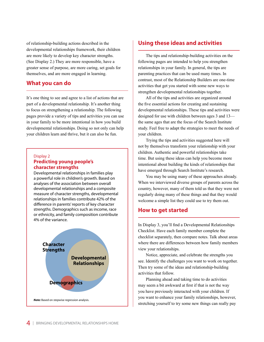of relationship-building actions described in the developmental relationships framework, their children are more likely to develop key character strengths. (See Display 2.) They are more responsible, have a greater sense of purpose, are more caring, set goals for themselves, and are more engaged in learning.

#### **What you can do**

It's one thing to see and agree to a list of actions that are part of a developmental relationship. It's another thing to focus on strengthening a relationship. The following pages provide a variety of tips and activities you can use in your family to be more intentional in how you build developmental relationships. Doing so not only can help your children learn and thrive, but it can also be fun.

#### Display 2 **Predicting young people's character strengths**

Developmental relationships in families play a powerful role in children's growth. Based on analyses of the association between overall developmental relationships and a composite measure of character strengths, developmental relationships in families contribute 42% of the difference in parents' reports of key character strengths. Demographics such as income, race or ethnicity, and family composition contribute 4% of the variance.



## **Using these ideas and activities**

The tips and relationship-building activities on the following pages are intended to help you strengthen relationships in your family. In general, the tips are parenting practices that can be used many times. In contrast, most of the Relationship Builders are one-time activities that get you started with some new ways to strengthen developmental relationships together.

All of the tips and activities are organized around the five essential actions for creating and sustaining developmental relationships. These tips and activities were designed for use with children between ages 3 and 13 the same ages that are the focus of the Search Institute study. Feel free to adapt the strategies to meet the needs of your children.

Trying the tips and activities suggested here will not by themselves transform your relationship with your children. Authentic and powerful relationships take time. But using these ideas can help you become more intentional about building the kinds of relationships that have emerged through Search Institute's research.

You may be using many of these approaches already. When we interviewed diverse groups of parents across the country, however, many of them told us that they were not regularly doing many of these things and that they would welcome a simple list they could use to try them out.

#### **How to get started**

In Display 3, you'll find a Developmental Relationships Checklist. Have each family member complete the checklist separately, then compare notes. Talk about areas where there are differences between how family members view your relationships.

Notice, appreciate, and celebrate the strengths you see. Identify the challenges you want to work on together. Then try some of the ideas and relationship-building activities that follow.

Planning ahead and taking time to do activities may seem a bit awkward at first if that is not the way you have previously interacted with your children. If you want to enhance your family relationships, however, stretching yourself to try some new things can really pay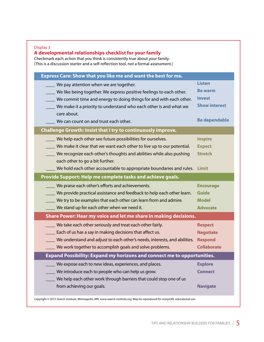#### Display 3

## **A developmental relationships checklist for your family**

Checkmark each action that you think is consistently true about your family. (This is a discussion starter and a self-reflection tool, not a formal assessment.)

| Express Care: Show that you like me and want the best for me.                  |                      |  |  |  |
|--------------------------------------------------------------------------------|----------------------|--|--|--|
| We pay attention when we are together.                                         | <b>Listen</b>        |  |  |  |
| We like being together. We express positive feelings to each other.            | <b>Be warm</b>       |  |  |  |
| We commit time and energy to doing things for and with each other.             | <b>Invest</b>        |  |  |  |
| We make it a priority to understand who each other is and what we              | <b>Show interest</b> |  |  |  |
| care about.                                                                    |                      |  |  |  |
| We can count on and trust each other.                                          | <b>Be dependable</b> |  |  |  |
| <b>Challenge Growth: Insist that I try to continuously improve.</b>            |                      |  |  |  |
| We help each other see future possibilities for ourselves.                     | <b>Inspire</b>       |  |  |  |
| We make it clear that we want each other to live up to our potential.          | <b>Expect</b>        |  |  |  |
| We recognize each other's thoughts and abilities while also pushing            | <b>Stretch</b>       |  |  |  |
| each other to go a bit further.                                                |                      |  |  |  |
| We hold each other accountable to appropriate boundaries and rules.            | Limit                |  |  |  |
| Provide Support: Help me complete tasks and achieve goals.                     |                      |  |  |  |
| We praise each other's efforts and achievements.                               | <b>Encourage</b>     |  |  |  |
| We provide practical assistance and feedback to help each other learn.         | <b>Guide</b>         |  |  |  |
| We try to be examples that each other can learn from and admire.               | <b>Model</b>         |  |  |  |
| We stand up for each other when we need it.                                    | <b>Advocate</b>      |  |  |  |
| Share Power: Hear my voice and let me share in making decisions.               |                      |  |  |  |
| We take each other seriously and treat each other fairly.                      | <b>Respect</b>       |  |  |  |
| Each of us has a say in making decisions that affect us.                       | <b>Negotiate</b>     |  |  |  |
| We understand and adjust to each other's needs, interests, and abilities.      | <b>Respond</b>       |  |  |  |
| We work together to accomplish goals and solve problems.                       | <b>Collaborate</b>   |  |  |  |
| <b>Expand Possibility: Expand my horizons and connect me to opportunities.</b> |                      |  |  |  |
| We expose each to new ideas, experiences, and places.                          | <b>Explore</b>       |  |  |  |
| We introduce each to people who can help us grow.                              | <b>Connect</b>       |  |  |  |
| We help each other work through barriers that could stop one of us             |                      |  |  |  |
| from achieving our goals.                                                      | <b>Navigate</b>      |  |  |  |
|                                                                                |                      |  |  |  |

Copyright © 2015 Search Institute, Minneapolis, MN. www.search-institute.org. May be reproduced for nonprofit, educational use.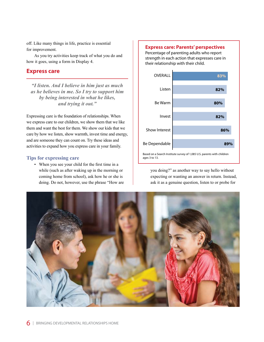off. Like many things in life, practice is essential for improvement.

As you try activities keep track of what you do and how it goes, using a form in Display 4.

## **Express care**

*"I listen. And I believe in him just as much as he believes in me. So I try to support him by being interested in what he likes, and trying it out."*

Expressing care is the foundation of relationships. When we express care to our children, we show them that we like them and want the best for them. We show our kids that we care by how we listen, show warmth, invest time and energy, and are someone they can count on. Try these ideas and activities to expand how you express care in your family.

#### **Tips for expressing care**

• When you see your child for the first time in a while (such as after waking up in the morning or coming home from school), ask how he or she is doing. Do not, however, use the phrase "How are

#### **Express care: Parents' perspectives**

Percentage of parenting adults who report strength in each action that expresses care in their relationship with their child.



you doing?" as another way to say hello without expecting or wanting an answer in return. Instead, ask it as a genuine question, listen to or probe for

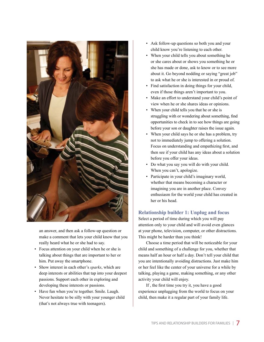

an answer, and then ask a follow-up question or make a comment that lets your child know that you really heard what he or she had to say.

- Focus attention on your child when he or she is talking about things that are important to her or him. Put away the smartphone.
- Show interest in each other's *sparks*, which are deep interests or abilities that tap into your deepest passions. Support each other in exploring and developing these interests or passions.
- Have fun when you're together. Smile. Laugh. Never hesitate to be silly with your younger child (that's not always true with teenagers).
- Ask follow-up questions so both you and your child know you're listening to each other.
- When your child tells you about something he or she cares about or shows you something he or she has made or done, ask to know or to see more about it. Go beyond nodding or saying "great job" to ask what he or she is interested in or proud of.
- Find satisfaction in doing things for your child, even if those things aren't important to you.
- Make an effort to understand your child's point of view when he or she shares ideas or opinions.
- When your child tells you that he or she is struggling with or wondering about something, find opportunities to check in to see how things are going before your son or daughter raises the issue again.
- When your child says he or she has a problem, try not to immediately jump to offering a solution. Focus on understanding and empathizing first, and then see if your child has any ideas about a solution before you offer your ideas.
- Do what you say you will do with your child. When you can't, apologize.
- Participate in your child's imaginary world, whether that means becoming a character or imagining you are in another place. Convey enthusiasm for the world your child has created in her or his head.

#### **Relationship builder 1: Unplug and focus**

Select a period of time during which you will pay attention only to your child and will avoid even glances at your phone, television, computer, or other distractions. This might be harder than you think!

Choose a time period that will be noticeable for your child and something of a challenge for you, whether that means half an hour or half a day. Don't tell your child that you are intentionally avoiding distractions. Just make him or her feel like the center of your universe for a while by talking, playing a game, making something, or any other activity your child will enjoy.

If , the first time you try it, you have a good experience unplugging from the world to focus on your child, then make it a regular part of your family life.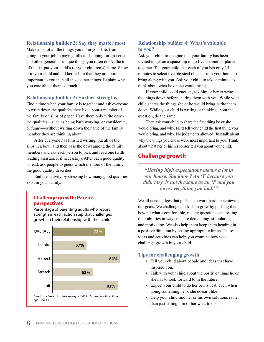#### **Relationship builder 2: Say they matter most**

Make a list of all the things you do in your life, from going to your job to paying bills to shopping for groceries and other general or unique things you often do. At the top of the list put your child's (or your children's) name. Show it to your child and tell her or him that they are more important to you than all those other things. Explain why you care about them so much.

#### **Relationship builder 3: Surface strengths**

Find a time when your family is together and ask everyone to write down the qualities they like about a member of the family on slips of paper. Have them only write down the qualities—such as being hard working, or considerate, or funny—without writing down the name of the family member they are thinking about.

After everyone has finished writing, put all of the slips in a bowl and then pass the bowl among the family members and ask each person to pick and read one (with reading assistance, if necessary). After each good quality is read, ask people to guess which member of the family the good quality describes.

End the activity by stressing how many good qualities exist in your family.

#### **Challenge growth: Parents' perspectives**

Percentage of parenting adults who report strength in each action step that challenges growth in their relationship with their child.



#### **Relationship builder 4: What's valuable to you?**

Ask your child to imagine that your family has been invited to get on a spaceship to go live on another planet together. Tell your child that each of you has only 15 minutes to select five physical objects from your home to bring along with you. Ask your child to take a minute to think about what he or she would bring.

If your child is old enough, ask him or her to write the things down before sharing them with you. While your child shares the things she or he would bring, write them down. While your child is writing or thinking about the question, do the same.

Then ask your child to share the first thing he or she would bring, and why. Next tell your child the first thing you would bring, and why. No judgments allowed! Just talk about why the things you chose were most important to you. Think about what her or his responses tell you about your child.

## **Challenge growth**

*"Having high expectations means a lot in our house. You know? An 'F because you didn't try' is not the same as an 'F and you gave everything you had.'"*

We all need nudges that push us to work hard on achieving our goals. We challenge our kids to grow by pushing them beyond what's comfortable, raising questions, and testing their abilities in ways that are demanding, stimulating, and motivating. We also help them keep them heading in a positive direction by setting appropriate limits. These ideas and activities can help you examine how you challenge growth in your child.

#### **Tips for challenging growth**

- Tell your child about people and ideas that have inspired you.
- Talk with your child about the positive things he or she has to look forward to in the future.
- Expect your child to do her or his best, even when doing something he or she doesn't like.
- Help your child find her or his own solutions rather than just telling him or her what to do.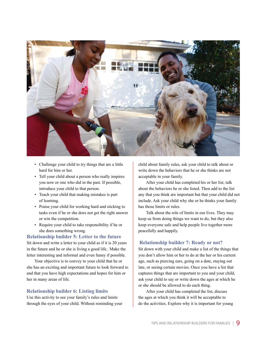

- Challenge your child to try things that are a little hard for him or her.
- Tell your child about a person who really inspires you now or one who did in the past. If possible, introduce your child to that person.
- Teach your child that making mistakes is part of learning.
- Praise your child for working hard and sticking to tasks even if he or she does not get the right answer or win the competition.
- Require your child to take responsibility if he or she does something wrong.

#### **Relationship builder 5: Letter to the future**

Sit down and write a letter to your child as if it is 20 years in the future and he or she is living a good life.. Make the letter interesting and informal and even funny if possible.

Your objective is to convey to your child that he or she has an exciting and important future to look forward to and that you have high expectations and hopes for him or her in many areas of life.

#### **Relationship builder 6: Listing limits**

Use this activity to see your family's rules and limits through the eyes of your child. Without reminding your child about family rules, ask your child to talk about or write down the behaviors that he or she thinks are not acceptable in your family.

After your child has completed his or her list, talk about the behaviors he or she listed. Then add to the list any that you think are important but that your child did not include. Ask your child why she or he thinks your family has those limits or rules.

Talk about the role of limits in our lives. They may keep us from doing things we want to do, but they also keep everyone safe and help people live together more peacefully and happily.

#### **Relationship builder 7: Ready or not?**

Sit down with your child and make a list of the things that you don't allow him or her to do at the her or his current age, such as piercing ears, going on a date, staying out late, or seeing certain movies. Once you have a list that captures things that are important to you and your child, ask your child to say or write down the ages at which he or she should be allowed to do each thing.

After your child has completed the list, discuss the ages at which you think it will be acceptable to do the activities. Explore why it is important for young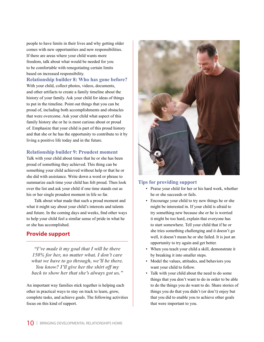people to have limits in their lives and why getting older comes with new opportunities and new responsibilities. If there are areas where your child wants more freedom, talk about what would be needed for you to be comfortable with renegotiating certain limits based on increased responsibility.

**Relationship builder 8: Who has gone before?** With your child, collect photos, videos, documents, and other artifacts to create a family timeline about the history of your family. Ask your child for ideas of things to put in the timeline. Point out things that you can be proud of, including both accomplishments and obstacles that were overcome. Ask your child what aspect of this family history she or he is most curious about or proud of. Emphasize that your child is part of this proud history and that she or he has the opportunity to contribute to it by living a positive life today and in the future.

#### **Relationship builder 9: Proudest moment**

Talk with your child about times that he or she has been proud of something they achieved. This thing can be something your child achieved without help or that he or she did with assistance. Write down a word or phrase to summarize each time your child has felt proud. Then look over the list and ask your child if one time stands out as his or her single proudest moment in life so far.

Talk about what made that such a proud moment and what it might say about your child's interests and talents and future. In the coming days and weeks, find other ways to help your child feel a similar sense of pride in what he or she has accomplished.

## **Provide support**

*"I've made it my goal that I will be there 150% for her, no matter what. I don't care what we have to go through, we'll be there. You know? I'll give her the shirt off my back to show her that she's always got us."*

An important way families stick together is helping each other in practical ways to stay on track to learn, grow, complete tasks, and achieve goals. The following activities focus on this kind of support.



#### **Tips for providing support**

- Praise your child for her or his hard work, whether he or she succeeds or fails.
- Encourage your child to try new things he or she might be interested in. If your child is afraid to try something new because she or he is worried it might be too hard, explain that everyone has to start somewhere. Tell your child that if he or she tries something challenging and it doesn't go well, it doesn't mean he or she failed. It is just an opportunity to try again and get better.
- When you teach your child a skill, demonstrate it by breaking it into smaller steps.
- Model the values, attitudes, and behaviors you want your child to follow.
- Talk with your child about the need to do some things that you don't want to do in order to be able to do the things you do want to do. Share stories of things you do that you didn't (or don't) enjoy but that you did to enable you to achieve other goals that were important to you.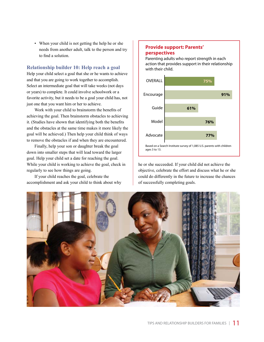• When your child is not getting the help he or she needs from another adult, talk to the person and try to find a solution.

#### **Relationship builder 10: Help reach a goal**

Help your child select a goal that she or he wants to achieve and that you are going to work together to accomplish. Select an intermediate goal that will take weeks (not days or years) to complete. It could involve schoolwork or a favorite activity, but it needs to be a goal your child has, not just one that you want him or her to achieve.

Work with your child to brainstorm the benefits of achieving the goal. Then brainstorm obstacles to achieving it. (Studies have shown that identifying both the benefits and the obstacles at the same time makes it more likely the goal will be achieved.) Then help your child think of ways to remove the obstacles if and when they are encountered.

Finally, help your son or daughter break the goal down into smaller steps that will lead toward the larger goal. Help your child set a date for reaching the goal. While your child is working to achieve the goal, check in regularly to see how things are going.

If your child reaches the goal, celebrate the accomplishment and ask your child to think about why

#### **Provide support: Parents' perspectives**

Parenting adults who report strength in each action that provides support in their relationship with their child.



he or she succeeded. If your child did not achieve the objective, celebrate the effort and discuss what he or she could do differently in the future to increase the chances of successfully completing goals.

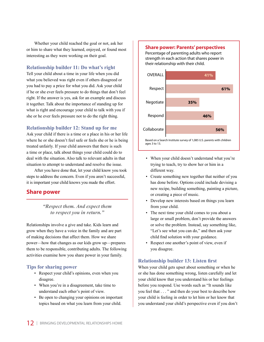Whether your child reached the goal or not, ask her or him to share what they learned, enjoyed, or found most interesting as they were working on their goal.

#### **Relationship builder 11: Do what's right**

Tell your child about a time in your life when you did what you believed was right even if others disagreed or you had to pay a price for what you did. Ask your child if he or she ever feels pressure to do things that don't feel right. If the answer is yes, ask for an example and discuss it together. Talk about the importance of standing up for what is right and encourage your child to talk with you if she or he ever feels pressure not to do the right thing.

#### **Relationship builder 12: Stand up for me**

Ask your child if there is a time or a place in his or her life where he or she doesn't feel safe or feels she or he is being treated unfairly. If your child answers that there is such a time or place, talk about things your child could do to deal with the situation. Also talk to relevant adults in that situation to attempt to understand and resolve the issue.

After you have done that, let your child know you took steps to address the concern. Even if you aren't successful, it is important your child knows you made the effort.

## **Share power**

#### *"Respect them. And expect them to respect you in return."*

Relationships involve a give and take. Kids learn and grow when they have a voice in the family and are part of making decisions that affect them. How we share power—how that changes as our kids grow up—prepares them to be responsible, contributing adults. The following activities examine how you share power in your family.

#### **Tips for sharing power**

- Respect your child's opinions, even when you disagree.
- When you're in a disagreement, take time to understand each other's point of view.
- Be open to changing your opinions on important topics based on what you learn from your child.

#### **Share power: Parents' perspectives**

Percentage of parenting adults who report strength in each action that shares power in their relationship with their child.



- When your child doesn't understand what you're trying to teach, try to show her or him in a different way.
- Create something new together that neither of you has done before. Options could include devising a new recipe, building something, painting a picture, or creating a piece of music.
- Develop new interests based on things you learn from your child.
- The next time your child comes to you about a large or small problem, don't provide the answers or solve the problem. Instead, say something like, "Let's see what you can do," and then ask your child find solution with your guidance.
- Respect one another's point of view, even if you disagree.

#### **Relationship builder 13: Listen first**

When your child gets upset about something or when he or she has done something wrong, listen carefully and let your child know that you understand his or her feelings before you respond. Use words such as "It sounds like you feel that . . . " and then do your best to describe how your child is feeling in order to let him or her know that you understand your child's perspective even if you don't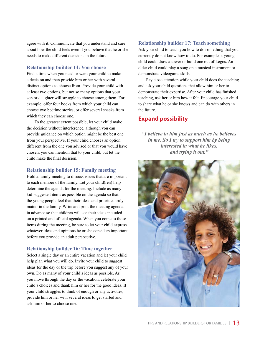agree with it. Communicate that you understand and care about how the child feels even if you believe that he or she needs to make different decisions in the future.

#### **Relationship builder 14: You choose**

Find a time when you need or want your child to make a decision and then provide him or her with several distinct options to choose from. Provide your child with at least two options, but not so many options that your son or daughter will struggle to choose among them. For example, offer four books from which your child can choose two bedtime stories, or offer several snacks from which they can choose one.

To the greatest extent possible, let your child make the decision without interference, although you can provide guidance on which option might be the best one from your perspective. If your child chooses an option different from the one you advised or that you would have chosen, you can mention that to your child, but let the child make the final decision.

#### **Relationship builder 15: Family meeting**

Hold a family meeting to discuss issues that are important to each member of the family. Let your child(ren) help determine the agenda for the meeting. Include as many kid-suggested items as possible on the agenda so that the young people feel that their ideas and priorities truly matter in the family. Write and print the meeting agenda in advance so that children will see their ideas included on a printed and official agenda. When you come to those items during the meeting, be sure to let your child express whatever ideas and opinions he or she considers important before you provide an adult perspective.

#### **Relationship builder 16: Time together**

Select a single day or an entire vacation and let your child help plan what you will do. Invite your child to suggest ideas for the day or the trip before you suggest any of your own. Do as many of your child's ideas as possible. As you move through the day or the vacation, celebrate your child's choices and thank him or her for the good ideas. If your child struggles to think of enough or any activities, provide him or her with several ideas to get started and ask him or her to choose one.

#### **Relationship builder 17: Teach something**

Ask your child to teach you how to do something that you currently do not know how to do. For example, a young child could draw a tower or build one out of Legos. An older child could play a song on a musical instrument or demonstrate videogame skills.

Pay close attention while your child does the teaching and ask your child questions that allow him or her to demonstrate their expertise. After your child has finished teaching, ask her or him how it felt. Encourage your child to share what he or she knows and can do with others in the future.

# **Expand possibility**

*"I believe in him just as much as he believes in me. So I try to support him by being interested in what he likes, and trying it out."*

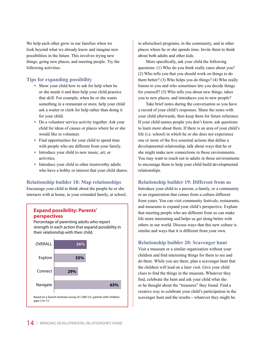We help each other grow in our families when we look beyond what we already know and imagine new possibilities in the future. This involves trying new things, going new places, and meeting people. Try the following activities.

#### **Tips for expanding possibility**

- Show your child how to ask for help when he or she needs it and then help your child practice that skill. For example, when he or she wants something in a restaurant or store, help your child ask a waiter or clerk for help rather than doing it for your child.
- Do a volunteer service activity together. Ask your child for ideas of causes or places where he or she would like to volunteer.
- Find opportunities for your child to spend time with people who are different from your family.
- Introduce your child to new music, art, or activities.
- Introduce your child to other trustworthy adults who have a hobby or interest that your child shares.

#### **Relationship builder 18: Map relationships**

Encourage your child to think about the people he or she interacts with at home, in your extended family, at school,

#### **Expand possibility: Parents' perspectives**

Percentage of parenting adults who report strength in each action that expand possibility in their relationship with their child.



in afterschool programs, in the community, and in other places where he or she spends time. Invite them to think about both adults and other kids.

More specifically, ask your child the following questions: (1) Who do you think really cares about you? (2) Who tells you that you should work on things to do them better? (3) Who helps you do things? (4) Who really listens to you and who sometimes lets you decide things for yourself? (5) Who tells you about new things, takes you to new places, and introduces you to new people?

Take brief notes during the conversation so you have a record of your child's responses. Share the notes with your child afterwards, then keep them for future reference. If your child names people you don't know, ask questions to learn more about them. If there is an area of your child's life (i.e. school) in which he or she does not experience one or more of the five essential actions that define a developmental relationship, talk about ways that he or she might make new connections in those environments. You may want to reach out to adults in those environments to encourage them to help your child build developmental relationships.

#### **Relationship builder 19: Different from us**

Introduce your child to a person, a family, or a community or an organization that comes from a culture different from yours. You can visit community festivals, restaurants, and museums to expand your child's perspective. Explain that meeting people who are different from us can make life more interesting and helps us get along better with others in our world. Discuss ways that this new culture is similar and ways that it is different from your own.

#### **Relationship builder 20: Scavenger hunt**

Visit a museum or a similar organization without your children and find interesting things for them to see and do there. While you are there, plan a scavenger hunt that the children will lead on a later visit. Give your child clues to find the things in the museum. Whatever they find, celebrate the hunt and ask your child what she or he thought about the "treasures" they found. Find a creative way to celebrate your child's participation in the scavenger hunt and the results—whatever they might be.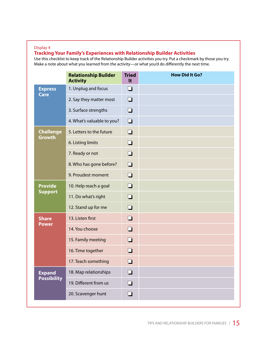#### Display 4

# **Tracking Your Family's Experiences with Relationship Builder Activities**

Use this checklist to keep track of the Relationship Builder activities you try. Put a checkmark by those you try. Make a note about what you learned from the activity—or what you'd do differently the next time.

|                                     | <b>Relationship Builder</b><br><b>Activity</b> | <b>Tried</b><br>It | <b>How Did It Go?</b> |
|-------------------------------------|------------------------------------------------|--------------------|-----------------------|
| <b>Express</b><br><b>Care</b>       | 1. Unplug and focus                            | $\Box$             |                       |
|                                     | 2. Say they matter most                        | $\Box$             |                       |
|                                     | 3. Surface strengths                           | $\Box$             |                       |
|                                     | 4. What's valuable to you?                     | $\Box$             |                       |
| <b>Challenge</b><br><b>Growth</b>   | 5. Letters to the future                       | $\Box$             |                       |
|                                     | 6. Listing limits                              | $\Box$             |                       |
|                                     | 7. Ready or not                                | $\Box$             |                       |
|                                     | 8. Who has gone before?                        | $\Box$             |                       |
|                                     | 9. Proudest moment                             | $\Box$             |                       |
| <b>Provide</b><br><b>Support</b>    | 10. Help reach a goal                          | $\Box$             |                       |
|                                     | 11. Do what's right                            | $\Box$             |                       |
|                                     | 12. Stand up for me                            | $\Box$             |                       |
| <b>Share</b><br><b>Power</b>        | 13. Listen first                               | $\Box$             |                       |
|                                     | 14. You choose                                 | $\Box$             |                       |
|                                     | 15. Family meeting                             | $\Box$             |                       |
|                                     | 16. Time together                              | n                  |                       |
|                                     | 17. Teach something                            |                    |                       |
| <b>Expand</b><br><b>Possibility</b> | 18. Map relationships                          | $\Box$             |                       |
|                                     | 19. Different from us                          | П                  |                       |
|                                     | 20. Scavenger hunt                             | ┚                  |                       |
|                                     |                                                |                    |                       |